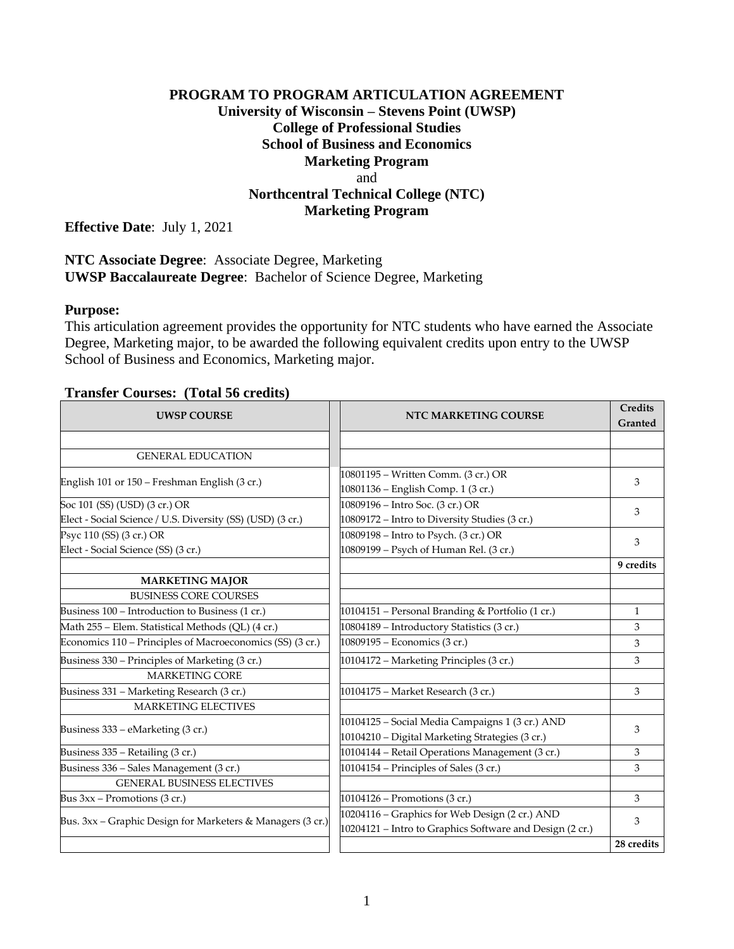## **PROGRAM TO PROGRAM ARTICULATION AGREEMENT University of Wisconsin – Stevens Point (UWSP) College of Professional Studies School of Business and Economics Marketing Program** and **Northcentral Technical College (NTC) Marketing Program**

**Effective Date**: July 1, 2021

## **NTC Associate Degree**: Associate Degree, Marketing **UWSP Baccalaureate Degree**: Bachelor of Science Degree, Marketing

## **Purpose:**

This articulation agreement provides the opportunity for NTC students who have earned the Associate Degree, Marketing major, to be awarded the following equivalent credits upon entry to the UWSP School of Business and Economics, Marketing major.

#### **Transfer Courses: (Total 56 credits)**

| <b>UWSP COURSE</b>                                         | NTC MARKETING COURSE                                                      | <b>Credits</b><br>Granted |
|------------------------------------------------------------|---------------------------------------------------------------------------|---------------------------|
|                                                            |                                                                           |                           |
| <b>GENERAL EDUCATION</b>                                   |                                                                           |                           |
| English 101 or 150 – Freshman English (3 cr.)              | 10801195 - Written Comm. (3 cr.) OR<br>10801136 - English Comp. 1 (3 cr.) | 3                         |
| Soc 101 (SS) (USD) (3 cr.) OR                              | 10809196 – Intro Soc. (3 cr.) OR                                          | 3                         |
| Elect - Social Science / U.S. Diversity (SS) (USD) (3 cr.) | 10809172 - Intro to Diversity Studies (3 cr.)                             |                           |
| Psyc 110 (SS) (3 cr.) OR                                   | 10809198 - Intro to Psych. (3 cr.) OR                                     |                           |
| Elect - Social Science (SS) (3 cr.)                        | 10809199 - Psych of Human Rel. (3 cr.)                                    | 3                         |
|                                                            |                                                                           | 9 credits                 |
| <b>MARKETING MAJOR</b>                                     |                                                                           |                           |
| <b>BUSINESS CORE COURSES</b>                               |                                                                           |                           |
| Business 100 – Introduction to Business (1 cr.)            | 10104151 – Personal Branding & Portfolio (1 cr.)                          | $\mathbf{1}$              |
| Math 255 - Elem. Statistical Methods (QL) (4 cr.)          | 10804189 - Introductory Statistics (3 cr.)                                | 3                         |
| Economics 110 – Principles of Macroeconomics (SS) (3 cr.)  | 10809195 – Economics (3 cr.)                                              | 3                         |
| Business 330 – Principles of Marketing (3 cr.)             | 10104172 – Marketing Principles (3 cr.)                                   | 3                         |
| <b>MARKETING CORE</b>                                      |                                                                           |                           |
| Business 331 - Marketing Research (3 cr.)                  | 10104175 - Market Research (3 cr.)                                        | 3                         |
| <b>MARKETING ELECTIVES</b>                                 |                                                                           |                           |
| Business 333 - eMarketing (3 cr.)                          | 10104125 - Social Media Campaigns 1 (3 cr.) AND                           | 3                         |
|                                                            | 10104210 - Digital Marketing Strategies (3 cr.)                           |                           |
| Business 335 - Retailing (3 cr.)                           | 10104144 - Retail Operations Management (3 cr.)                           | 3                         |
| Business 336 - Sales Management (3 cr.)                    | 10104154 – Principles of Sales (3 cr.)                                    | 3                         |
| <b>GENERAL BUSINESS ELECTIVES</b>                          |                                                                           |                           |
| Bus $3xx$ – Promotions (3 cr.)                             | 10104126 – Promotions (3 cr.)                                             | 3                         |
|                                                            | 10204116 - Graphics for Web Design (2 cr.) AND                            | 3                         |
| Bus. 3xx - Graphic Design for Marketers & Managers (3 cr.) | 10204121 - Intro to Graphics Software and Design (2 cr.)                  |                           |
|                                                            |                                                                           | 28 credits                |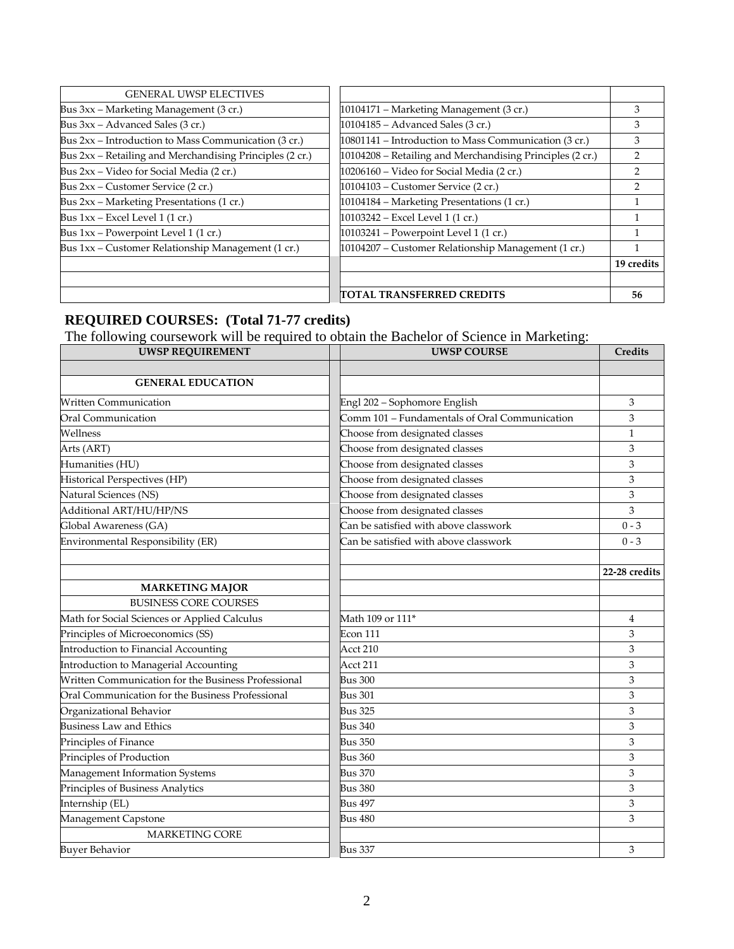| <b>GENERAL UWSP ELECTIVES</b>                            |                                                           |            |
|----------------------------------------------------------|-----------------------------------------------------------|------------|
| Bus 3xx - Marketing Management (3 cr.)                   | 10104171 – Marketing Management (3 cr.)                   | 3          |
| Bus 3xx – Advanced Sales (3 cr.)                         | 10104185 - Advanced Sales (3 cr.)                         | 3          |
| Bus 2xx – Introduction to Mass Communication (3 cr.)     | 10801141 – Introduction to Mass Communication (3 cr.)     | 3          |
| Bus 2xx - Retailing and Merchandising Principles (2 cr.) | 10104208 – Retailing and Merchandising Principles (2 cr.) |            |
| Bus 2xx – Video for Social Media (2 cr.)                 | 10206160 – Video for Social Media (2 cr.)                 |            |
| Bus 2xx – Customer Service (2 cr.)                       | 10104103 - Customer Service (2 cr.)                       | っ          |
| Bus 2xx - Marketing Presentations (1 cr.)                | 10104184 - Marketing Presentations (1 cr.)                |            |
| Bus $1xx$ – Excel Level 1 (1 cr.)                        | 10103242 - Excel Level 1 (1 cr.)                          |            |
| Bus 1xx - Powerpoint Level 1 (1 cr.)                     | 10103241 - Powerpoint Level 1 (1 cr.)                     |            |
| Bus 1xx – Customer Relationship Management (1 cr.)       | 10104207 – Customer Relationship Management (1 cr.)       |            |
|                                                          |                                                           | 19 credits |
|                                                          |                                                           |            |
|                                                          | <b>ITOTAL TRANSFERRED CREDITS</b>                         | 56         |

# **REQUIRED COURSES: (Total 71-77 credits)**

The following coursework will be required to obtain the Bachelor of Science in Marketing:

| <b>UWSP REQUIREMENT</b>                             | <b>UWSP COURSE</b>                            | <b>Credits</b> |
|-----------------------------------------------------|-----------------------------------------------|----------------|
|                                                     |                                               |                |
| <b>GENERAL EDUCATION</b>                            |                                               |                |
| <b>Written Communication</b>                        | Engl 202 - Sophomore English                  | 3              |
| Oral Communication                                  | Comm 101 - Fundamentals of Oral Communication | 3              |
| Wellness                                            | Choose from designated classes                | $\mathbf{1}$   |
| Arts (ART)                                          | Choose from designated classes                | 3              |
| Humanities (HU)                                     | Choose from designated classes                | 3              |
| Historical Perspectives (HP)                        | Choose from designated classes                | 3              |
| Natural Sciences (NS)                               | Choose from designated classes                | 3              |
| Additional ART/HU/HP/NS                             | Choose from designated classes                | 3              |
| Global Awareness (GA)                               | Can be satisfied with above classwork         | $0 - 3$        |
| Environmental Responsibility (ER)                   | Can be satisfied with above classwork         | $0 - 3$        |
|                                                     |                                               |                |
|                                                     |                                               | 22-28 credits  |
| <b>MARKETING MAJOR</b>                              |                                               |                |
| <b>BUSINESS CORE COURSES</b>                        |                                               |                |
| Math for Social Sciences or Applied Calculus        | Math 109 or 111 <sup>*</sup>                  | 4              |
| Principles of Microeconomics (SS)                   | Econ 111                                      | 3              |
| Introduction to Financial Accounting                | Acct 210                                      | 3              |
| Introduction to Managerial Accounting               | Acct 211                                      | 3              |
| Written Communication for the Business Professional | <b>Bus 300</b>                                | 3              |
| Oral Communication for the Business Professional    | Bus 301                                       | 3              |
| Organizational Behavior                             | <b>Bus 325</b>                                | 3              |
| <b>Business Law and Ethics</b>                      | Bus 340                                       | 3              |
| Principles of Finance                               | <b>Bus 350</b>                                | 3              |
| Principles of Production                            | Bus 360                                       | 3              |
| Management Information Systems                      | <b>Bus 370</b>                                | 3              |
| Principles of Business Analytics                    | <b>Bus 380</b>                                | 3              |
| Internship (EL)                                     | <b>Bus 497</b>                                | 3              |
| Management Capstone                                 | Bus 480                                       | 3              |
| <b>MARKETING CORE</b>                               |                                               |                |
| <b>Buyer Behavior</b>                               | <b>Bus 337</b>                                | 3              |